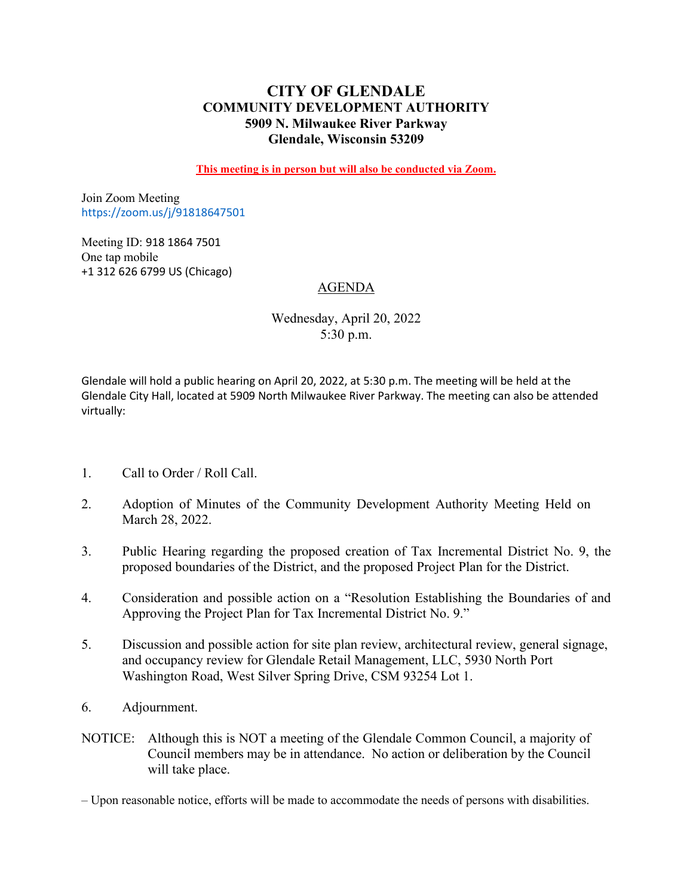# **CITY OF GLENDALE COMMUNITY DEVELOPMENT AUTHORITY 5909 N. Milwaukee River Parkway Glendale, Wisconsin 53209**

**This meeting is in person but will also be conducted via Zoom.**

Join Zoom Meeting https://zoom.us/j/91818647501

Meeting ID: 918 1864 7501 One tap mobile +1 312 626 6799 US (Chicago)

# AGENDA

Wednesday, April 20, 2022 5:30 p.m.

Glendale will hold a public hearing on April 20, 2022, at 5:30 p.m. The meeting will be held at the Glendale City Hall, located at 5909 North Milwaukee River Parkway. The meeting can also be attended virtually:

- 1. Call to Order / Roll Call.
- 2. [Adoption of Minutes of the Community Development Authority Meeting Held on](#page-1-0) March 28, 2022.
- 3. [Public Hearing regarding the proposed creation of Tax Incremental District No. 9, the](#page-3-0) proposed boundaries of the District, and the proposed Project Plan for the District.
- 4. Consideration and possible action on a "Resolution Establishing the Boundaries of and Approving the Project Plan for Tax Incremental District No. 9."
- [5. Discussion and possible action for site plan review, architectural review, general signage,](#page-5-0) and occupancy review for Glendale Retail Management, LLC, 5930 North Port Washington Road, West Silver Spring Drive, CSM 93254 Lot 1.
- 6. Adjournment.
- NOTICE: Although this is NOT a meeting of the Glendale Common Council, a majority of Council members may be in attendance. No action or deliberation by the Council will take place.

– Upon reasonable notice, efforts will be made to accommodate the needs of persons with disabilities.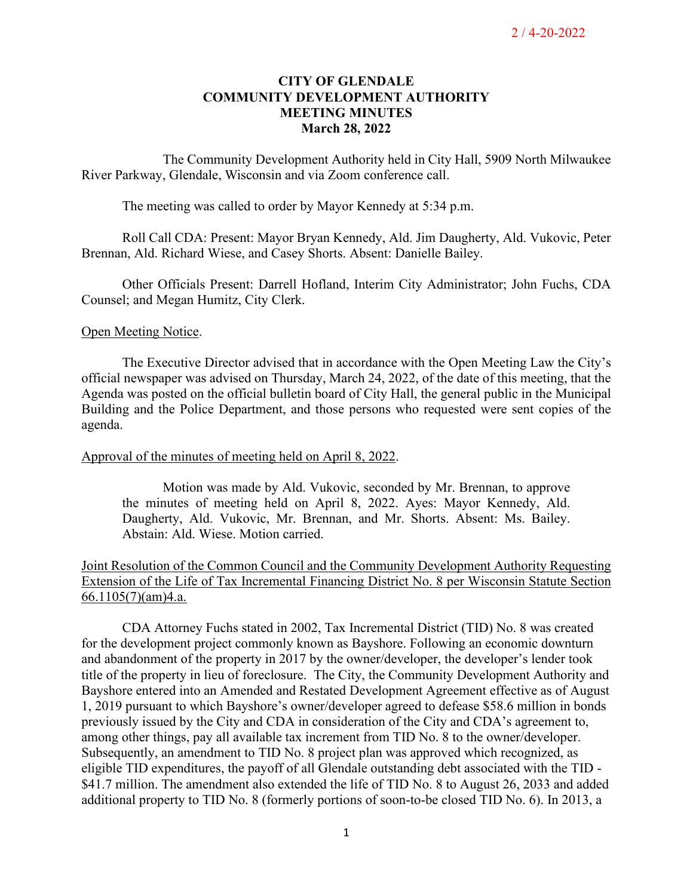## **CITY OF GLENDALE COMMUNITY DEVELOPMENT AUTHORITY MEETING MINUTES March 28, 2022**

<span id="page-1-0"></span>The Community Development Authority held in City Hall, 5909 North Milwaukee River Parkway, Glendale, Wisconsin and via Zoom conference call.

The meeting was called to order by Mayor Kennedy at 5:34 p.m.

Roll Call CDA: Present: Mayor Bryan Kennedy, Ald. Jim Daugherty, Ald. Vukovic, Peter Brennan, Ald. Richard Wiese, and Casey Shorts. Absent: Danielle Bailey.

Other Officials Present: Darrell Hofland, Interim City Administrator; John Fuchs, CDA Counsel; and Megan Humitz, City Clerk.

### Open Meeting Notice.

The Executive Director advised that in accordance with the Open Meeting Law the City's official newspaper was advised on Thursday, March 24, 2022, of the date of this meeting, that the Agenda was posted on the official bulletin board of City Hall, the general public in the Municipal Building and the Police Department, and those persons who requested were sent copies of the agenda.

### Approval of the minutes of meeting held on April 8, 2022.

Motion was made by Ald. Vukovic, seconded by Mr. Brennan, to approve the minutes of meeting held on April 8, 2022. Ayes: Mayor Kennedy, Ald. Daugherty, Ald. Vukovic, Mr. Brennan, and Mr. Shorts. Absent: Ms. Bailey. Abstain: Ald. Wiese. Motion carried.

Joint Resolution of the Common Council and the Community Development Authority Requesting Extension of the Life of Tax Incremental Financing District No. 8 per Wisconsin Statute Section  $66.1105(7)(am)4.a.$ 

CDA Attorney Fuchs stated in 2002, Tax Incremental District (TID) No. 8 was created for the development project commonly known as Bayshore. Following an economic downturn and abandonment of the property in 2017 by the owner/developer, the developer's lender took title of the property in lieu of foreclosure. The City, the Community Development Authority and Bayshore entered into an Amended and Restated Development Agreement effective as of August 1, 2019 pursuant to which Bayshore's owner/developer agreed to defease \$58.6 million in bonds previously issued by the City and CDA in consideration of the City and CDA's agreement to, among other things, pay all available tax increment from TID No. 8 to the owner/developer. Subsequently, an amendment to TID No. 8 project plan was approved which recognized, as eligible TID expenditures, the payoff of all Glendale outstanding debt associated with the TID - \$41.7 million. The amendment also extended the life of TID No. 8 to August 26, 2033 and added additional property to TID No. 8 (formerly portions of soon-to-be closed TID No. 6). In 2013, a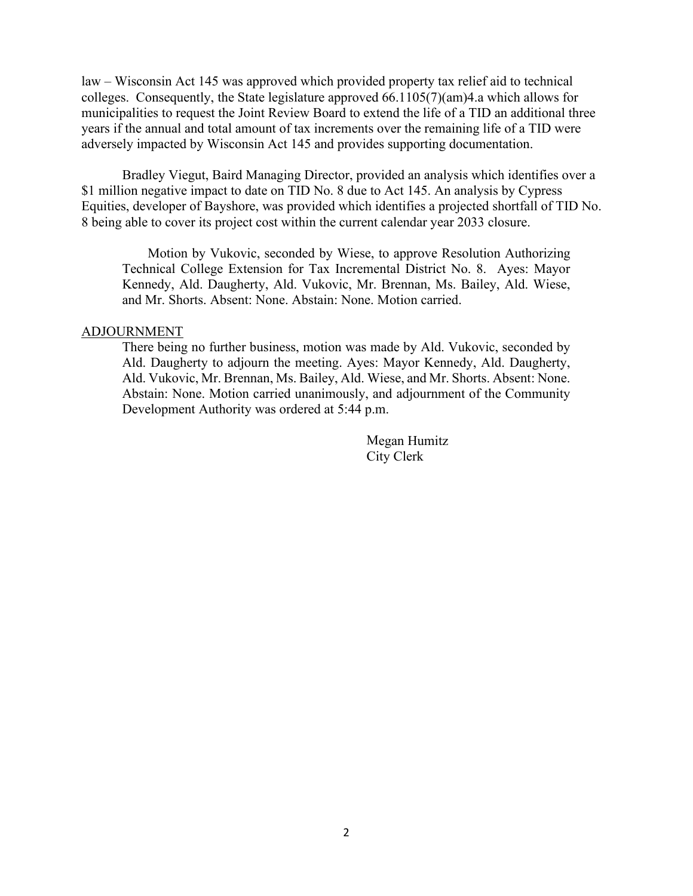law – Wisconsin Act 145 was approved which provided property tax relief aid to technical colleges. Consequently, the State legislature approved 66.1105(7)(am)4.a which allows for municipalities to request the Joint Review Board to extend the life of a TID an additional three years if the annual and total amount of tax increments over the remaining life of a TID were adversely impacted by Wisconsin Act 145 and provides supporting documentation.

Bradley Viegut, Baird Managing Director, provided an analysis which identifies over a \$1 million negative impact to date on TID No. 8 due to Act 145. An analysis by Cypress Equities, developer of Bayshore, was provided which identifies a projected shortfall of TID No. 8 being able to cover its project cost within the current calendar year 2033 closure.

Motion by Vukovic, seconded by Wiese, to approve Resolution Authorizing Technical College Extension for Tax Incremental District No. 8. Ayes: Mayor Kennedy, Ald. Daugherty, Ald. Vukovic, Mr. Brennan, Ms. Bailey, Ald. Wiese, and Mr. Shorts. Absent: None. Abstain: None. Motion carried.

### ADJOURNMENT

There being no further business, motion was made by Ald. Vukovic, seconded by Ald. Daugherty to adjourn the meeting. Ayes: Mayor Kennedy, Ald. Daugherty, Ald. Vukovic, Mr. Brennan, Ms. Bailey, Ald. Wiese, and Mr. Shorts. Absent: None. Abstain: None. Motion carried unanimously, and adjournment of the Community Development Authority was ordered at 5:44 p.m.

> Megan Humitz City Clerk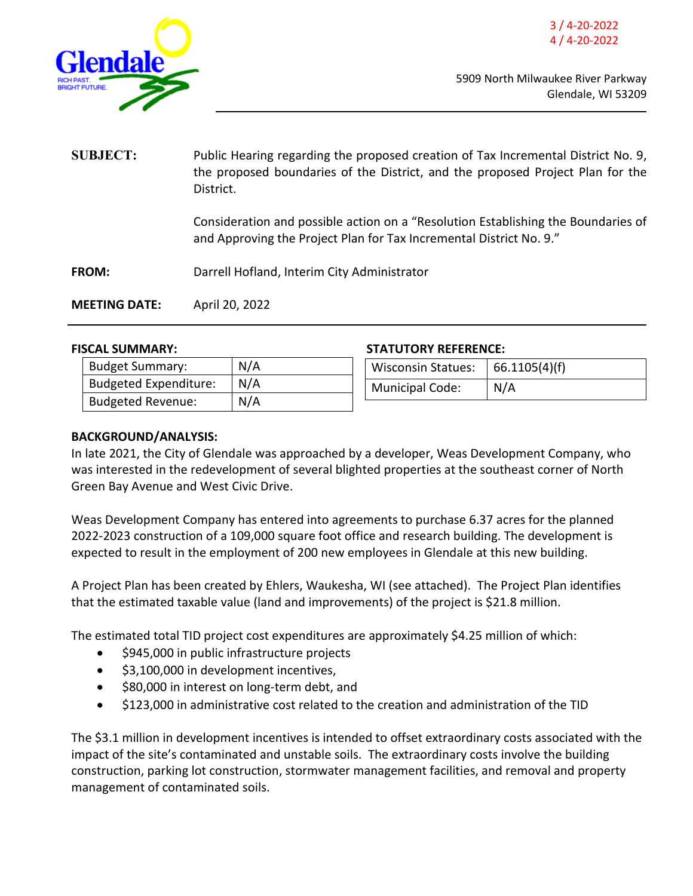<span id="page-3-0"></span>

**SUBJECT:** Public Hearing regarding the proposed creation of Tax Incremental District No. 9, the proposed boundaries of the District, and the proposed Project Plan for the District.

> Consideration and possible action on a "Resolution Establishing the Boundaries of and Approving the Project Plan for Tax Incremental District No. 9."

**FROM:** Darrell Hofland, Interim City Administrator

**MEETING DATE:** April 20, 2022

| <b>Budget Summary:</b>       | N/A |
|------------------------------|-----|
| <b>Budgeted Expenditure:</b> | N/A |
| <b>Budgeted Revenue:</b>     | N/A |

### **FISCAL SUMMARY: STATUTORY REFERENCE:**

| <b>Wisconsin Statues:</b> | 66.1105(4)(f) |
|---------------------------|---------------|
| Municipal Code:           | N/A           |

## **BACKGROUND/ANALYSIS:**

In late 2021, the City of Glendale was approached by a developer, Weas Development Company, who was interested in the redevelopment of several blighted properties at the southeast corner of North Green Bay Avenue and West Civic Drive.

Weas Development Company has entered into agreements to purchase 6.37 acres for the planned 2022-2023 construction of a 109,000 square foot office and research building. The development is expected to result in the employment of 200 new employees in Glendale at this new building.

A Project Plan has been created by Ehlers, Waukesha, WI (see attached). The Project Plan identifies that the estimated taxable value (land and improvements) of the project is \$21.8 million.

The estimated total TID project cost expenditures are approximately \$4.25 million of which:

- \$945,000 in public infrastructure projects
- \$3,100,000 in development incentives,
- \$80,000 in interest on long-term debt, and
- \$123,000 in administrative cost related to the creation and administration of the TID

The \$3.1 million in development incentives is intended to offset extraordinary costs associated with the impact of the site's contaminated and unstable soils. The extraordinary costs involve the building construction, parking lot construction, stormwater management facilities, and removal and property management of contaminated soils.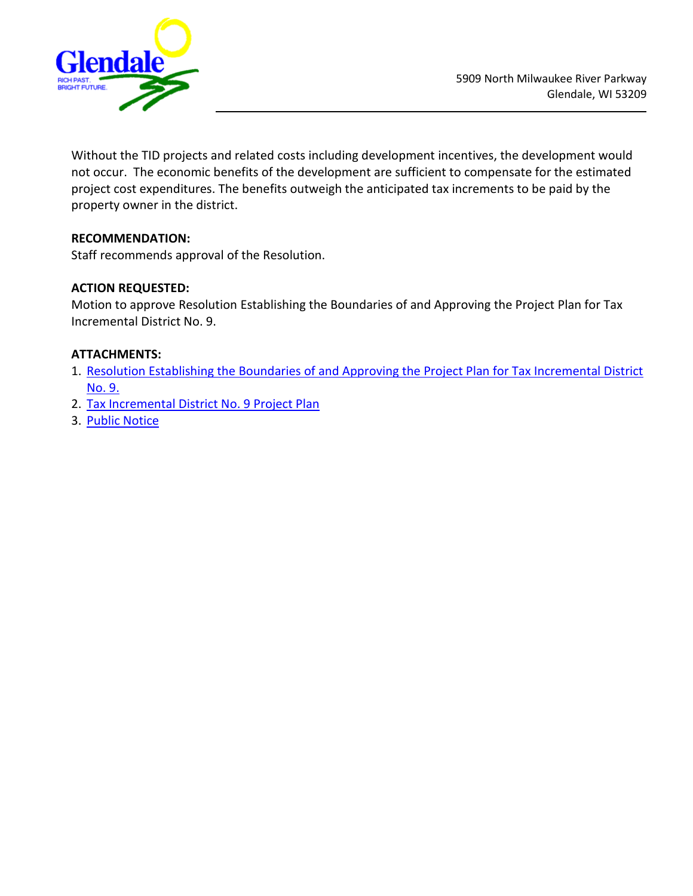

Without the TID projects and related costs including development incentives, the development would not occur. The economic benefits of the development are sufficient to compensate for the estimated project cost expenditures. The benefits outweigh the anticipated tax increments to be paid by the property owner in the district.

# **RECOMMENDATION:**

Staff recommends approval of the Resolution.

# **ACTION REQUESTED:**

Motion to approve Resolution Establishing the Boundaries of and Approving the Project Plan for Tax Incremental District No. 9.

# **ATTACHMENTS:**

- 1. [Resolution Establishing the Boundaries of and Approving the Project Plan for Tax Incremental District](https://www.glendale-wi.org/DocumentCenter/View/2545/CDA-Resolution---TID-9) [No. 9.](https://www.glendale-wi.org/DocumentCenter/View/2545/CDA-Resolution---TID-9)
- 2. [Tax Incremental District No. 9 Project Plan](https://www.glendale-wi.org/DocumentCenter/View/2544/Glendale-TID-No-9-Project-Plan_4th-Draft_2022-3-29)
- 3. [Public Notice](https://www.glendale-wi.org/DocumentCenter/View/2543/Public-Notice---TIDs-9--8)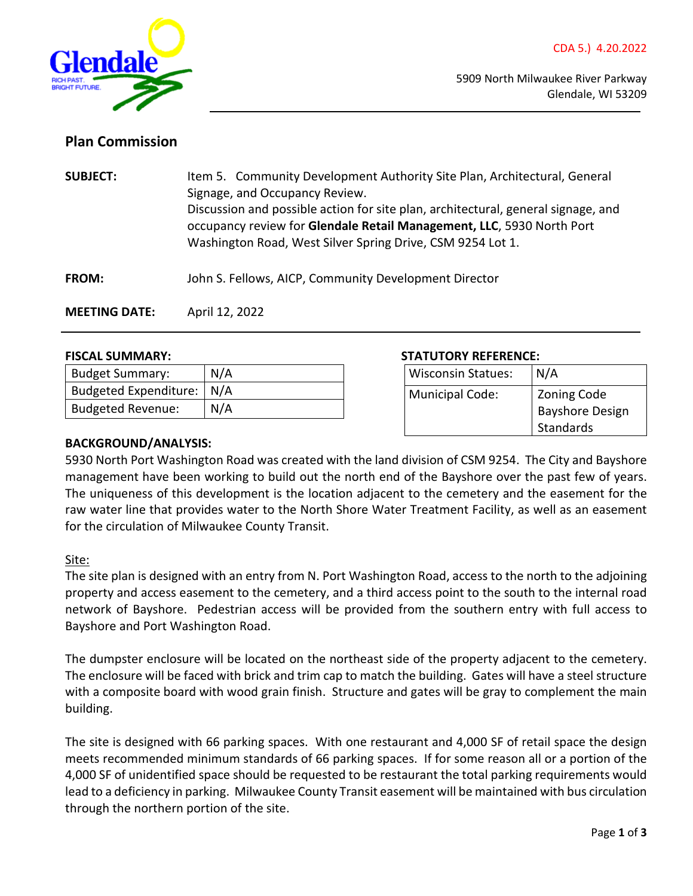<span id="page-5-0"></span>

# **Plan Commission**

**SUBJECT:** Item 5. Community Development Authority Site Plan, Architectural, General Signage, and Occupancy Review. Discussion and possible action for site plan, architectural, general signage, and occupancy review for **Glendale Retail Management, LLC**, 5930 North Port Washington Road, West Silver Spring Drive, CSM 9254 Lot 1.

**FROM:** John S. Fellows, AICP, Community Development Director

**MEETING DATE:** April 12, 2022

| <b>Budget Summary:</b>   | N/A |
|--------------------------|-----|
| Budgeted Expenditure:    | N/A |
| <b>Budgeted Revenue:</b> | N/A |

### **FISCAL SUMMARY: STATUTORY REFERENCE:**

| <b>Wisconsin Statues:</b> | N/A                                                       |
|---------------------------|-----------------------------------------------------------|
| Municipal Code:           | <b>Zoning Code</b><br><b>Bayshore Design</b><br>Standards |

## **BACKGROUND/ANALYSIS:**

5930 North Port Washington Road was created with the land division of CSM 9254. The City and Bayshore management have been working to build out the north end of the Bayshore over the past few of years. The uniqueness of this development is the location adjacent to the cemetery and the easement for the raw water line that provides water to the North Shore Water Treatment Facility, as well as an easement for the circulation of Milwaukee County Transit.

Site:

The site plan is designed with an entry from N. Port Washington Road, access to the north to the adjoining property and access easement to the cemetery, and a third access point to the south to the internal road network of Bayshore. Pedestrian access will be provided from the southern entry with full access to Bayshore and Port Washington Road.

The dumpster enclosure will be located on the northeast side of the property adjacent to the cemetery. The enclosure will be faced with brick and trim cap to match the building. Gates will have a steel structure with a composite board with wood grain finish. Structure and gates will be gray to complement the main building.

The site is designed with 66 parking spaces. With one restaurant and 4,000 SF of retail space the design meets recommended minimum standards of 66 parking spaces. If for some reason all or a portion of the 4,000 SF of unidentified space should be requested to be restaurant the total parking requirements would lead to a deficiency in parking. Milwaukee County Transit easement will be maintained with bus circulation through the northern portion of the site.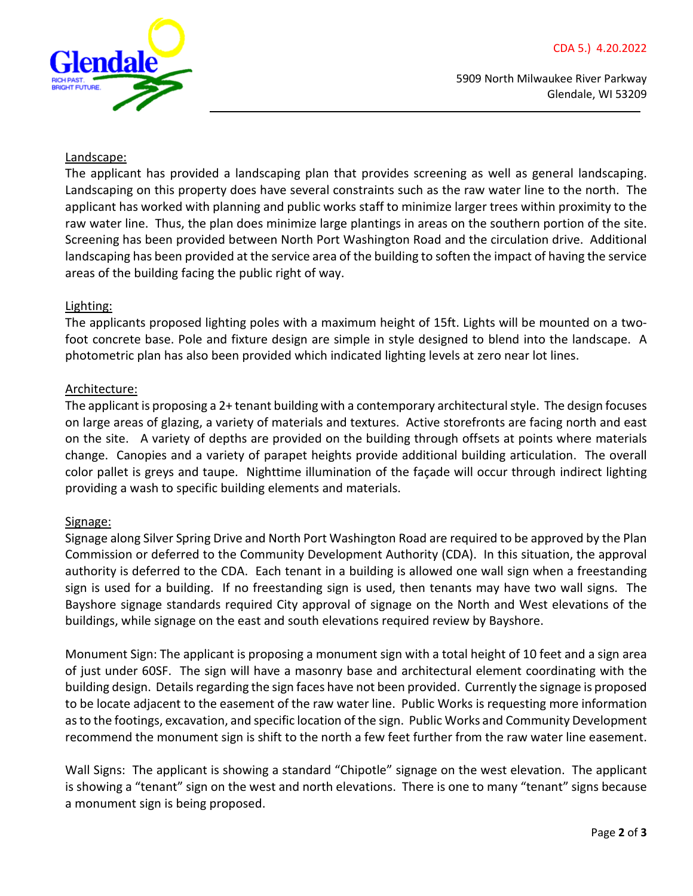

5909 North Milwaukee River Parkway Glendale, WI 53209

### Landscape:

The applicant has provided a landscaping plan that provides screening as well as general landscaping. Landscaping on this property does have several constraints such as the raw water line to the north. The applicant has worked with planning and public works staff to minimize larger trees within proximity to the raw water line. Thus, the plan does minimize large plantings in areas on the southern portion of the site. Screening has been provided between North Port Washington Road and the circulation drive. Additional landscaping has been provided at the service area of the building to soften the impact of having the service areas of the building facing the public right of way.

### Lighting:

The applicants proposed lighting poles with a maximum height of 15ft. Lights will be mounted on a twofoot concrete base. Pole and fixture design are simple in style designed to blend into the landscape. A photometric plan has also been provided which indicated lighting levels at zero near lot lines.

### Architecture:

The applicant is proposing a 2+ tenant building with a contemporary architectural style. The design focuses on large areas of glazing, a variety of materials and textures. Active storefronts are facing north and east on the site. A variety of depths are provided on the building through offsets at points where materials change. Canopies and a variety of parapet heights provide additional building articulation. The overall color pallet is greys and taupe. Nighttime illumination of the façade will occur through indirect lighting providing a wash to specific building elements and materials.

## Signage:

Signage along Silver Spring Drive and North Port Washington Road are required to be approved by the Plan Commission or deferred to the Community Development Authority (CDA). In this situation, the approval authority is deferred to the CDA. Each tenant in a building is allowed one wall sign when a freestanding sign is used for a building. If no freestanding sign is used, then tenants may have two wall signs. The Bayshore signage standards required City approval of signage on the North and West elevations of the buildings, while signage on the east and south elevations required review by Bayshore.

Monument Sign: The applicant is proposing a monument sign with a total height of 10 feet and a sign area of just under 60SF. The sign will have a masonry base and architectural element coordinating with the building design. Details regarding the sign faces have not been provided. Currently the signage is proposed to be locate adjacent to the easement of the raw water line. Public Works is requesting more information as to the footings, excavation, and specific location of the sign. Public Works and Community Development recommend the monument sign is shift to the north a few feet further from the raw water line easement.

Wall Signs: The applicant is showing a standard "Chipotle" signage on the west elevation. The applicant is showing a "tenant" sign on the west and north elevations. There is one to many "tenant" signs because a monument sign is being proposed.